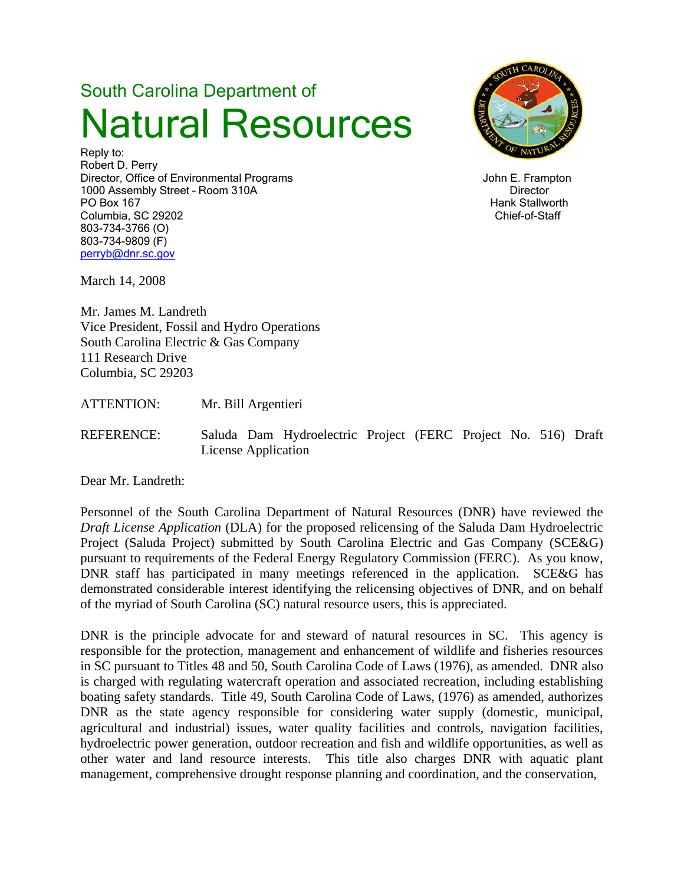# South Carolina Department of Natural Resources

Reply to: Robert D. Perry Director, Office of Environmental Programs and American School and American School and American School and American School and American School and American School and American School and American School and American School 1000 Assembly Street - Room 310A Director **Director** PO Box 167 Hank Stallworth Columbia, SC 29202 Chief-of-Staff 803-734-3766 (O) 803-734-9809 (F) perryb@dnr.sc.gov



March 14, 2008

Mr. James M. Landreth Vice President, Fossil and Hydro Operations South Carolina Electric & Gas Company 111 Research Drive Columbia, SC 29203

ATTENTION: Mr. Bill Argentieri

REFERENCE: Saluda Dam Hydroelectric Project (FERC Project No. 516) Draft License Application

Dear Mr. Landreth:

Personnel of the South Carolina Department of Natural Resources (DNR) have reviewed the *Draft License Application* (DLA) for the proposed relicensing of the Saluda Dam Hydroelectric Project (Saluda Project) submitted by South Carolina Electric and Gas Company (SCE&G) pursuant to requirements of the Federal Energy Regulatory Commission (FERC). As you know, DNR staff has participated in many meetings referenced in the application. SCE&G has demonstrated considerable interest identifying the relicensing objectives of DNR, and on behalf of the myriad of South Carolina (SC) natural resource users, this is appreciated.

DNR is the principle advocate for and steward of natural resources in SC. This agency is responsible for the protection, management and enhancement of wildlife and fisheries resources in SC pursuant to Titles 48 and 50, South Carolina Code of Laws (1976), as amended. DNR also is charged with regulating watercraft operation and associated recreation, including establishing boating safety standards. Title 49, South Carolina Code of Laws, (1976) as amended, authorizes DNR as the state agency responsible for considering water supply (domestic, municipal, agricultural and industrial) issues, water quality facilities and controls, navigation facilities, hydroelectric power generation, outdoor recreation and fish and wildlife opportunities, as well as other water and land resource interests. This title also charges DNR with aquatic plant management, comprehensive drought response planning and coordination, and the conservation,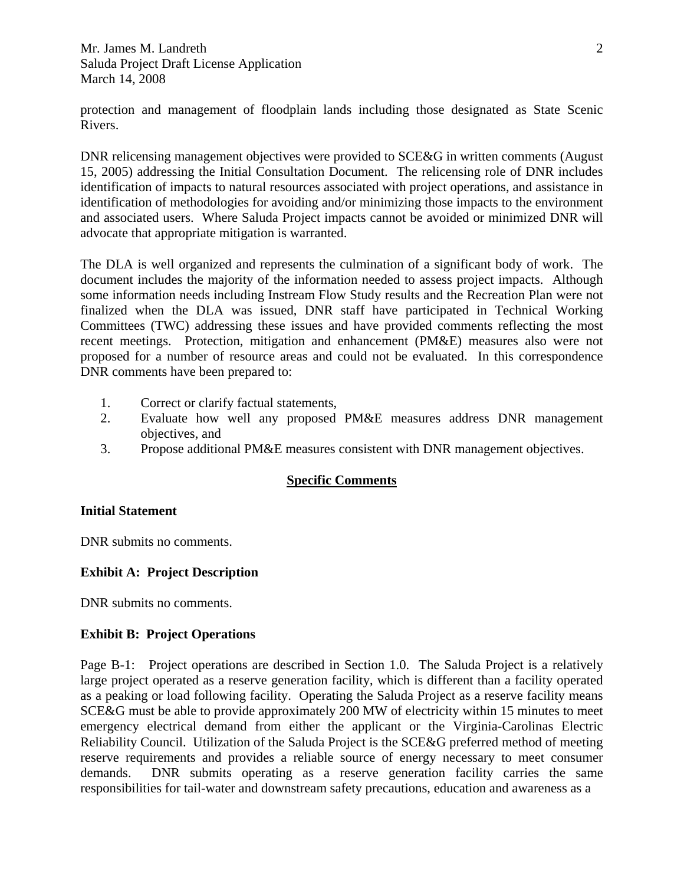protection and management of floodplain lands including those designated as State Scenic Rivers.

DNR relicensing management objectives were provided to SCE&G in written comments (August 15, 2005) addressing the Initial Consultation Document. The relicensing role of DNR includes identification of impacts to natural resources associated with project operations, and assistance in identification of methodologies for avoiding and/or minimizing those impacts to the environment and associated users. Where Saluda Project impacts cannot be avoided or minimized DNR will advocate that appropriate mitigation is warranted.

The DLA is well organized and represents the culmination of a significant body of work. The document includes the majority of the information needed to assess project impacts. Although some information needs including Instream Flow Study results and the Recreation Plan were not finalized when the DLA was issued, DNR staff have participated in Technical Working Committees (TWC) addressing these issues and have provided comments reflecting the most recent meetings. Protection, mitigation and enhancement (PM&E) measures also were not proposed for a number of resource areas and could not be evaluated. In this correspondence DNR comments have been prepared to:

- 1. Correct or clarify factual statements,
- 2. Evaluate how well any proposed PM&E measures address DNR management objectives, and
- 3. Propose additional PM&E measures consistent with DNR management objectives.

#### **Specific Comments**

#### **Initial Statement**

DNR submits no comments.

#### **Exhibit A: Project Description**

DNR submits no comments.

#### **Exhibit B: Project Operations**

Page B-1: Project operations are described in Section 1.0. The Saluda Project is a relatively large project operated as a reserve generation facility, which is different than a facility operated as a peaking or load following facility. Operating the Saluda Project as a reserve facility means SCE&G must be able to provide approximately 200 MW of electricity within 15 minutes to meet emergency electrical demand from either the applicant or the Virginia-Carolinas Electric Reliability Council. Utilization of the Saluda Project is the SCE&G preferred method of meeting reserve requirements and provides a reliable source of energy necessary to meet consumer demands. DNR submits operating as a reserve generation facility carries the same responsibilities for tail-water and downstream safety precautions, education and awareness as a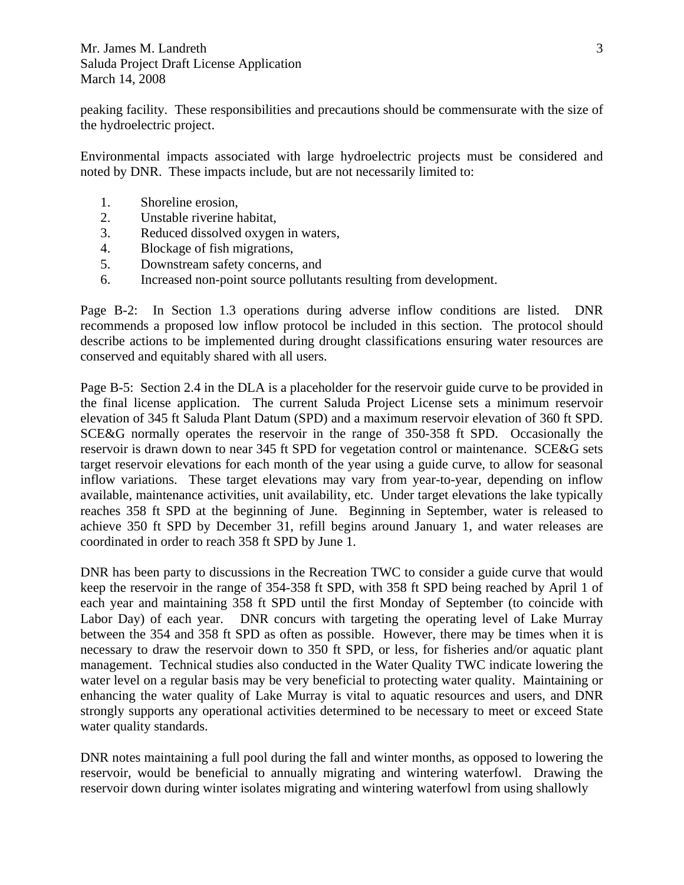peaking facility. These responsibilities and precautions should be commensurate with the size of the hydroelectric project.

Environmental impacts associated with large hydroelectric projects must be considered and noted by DNR. These impacts include, but are not necessarily limited to:

- 1. Shoreline erosion,
- 2. Unstable riverine habitat,
- 3. Reduced dissolved oxygen in waters,
- 4. Blockage of fish migrations,
- 5. Downstream safety concerns, and
- 6. Increased non-point source pollutants resulting from development.

Page B-2:In Section 1.3 operations during adverse inflow conditions are listed. DNR recommends a proposed low inflow protocol be included in this section. The protocol should describe actions to be implemented during drought classifications ensuring water resources are conserved and equitably shared with all users.

Page B-5: Section 2.4 in the DLA is a placeholder for the reservoir guide curve to be provided in the final license application. The current Saluda Project License sets a minimum reservoir elevation of 345 ft Saluda Plant Datum (SPD) and a maximum reservoir elevation of 360 ft SPD. SCE&G normally operates the reservoir in the range of 350-358 ft SPD. Occasionally the reservoir is drawn down to near 345 ft SPD for vegetation control or maintenance. SCE&G sets target reservoir elevations for each month of the year using a guide curve, to allow for seasonal inflow variations. These target elevations may vary from year-to-year, depending on inflow available, maintenance activities, unit availability, etc. Under target elevations the lake typically reaches 358 ft SPD at the beginning of June. Beginning in September, water is released to achieve 350 ft SPD by December 31, refill begins around January 1, and water releases are coordinated in order to reach 358 ft SPD by June 1.

DNR has been party to discussions in the Recreation TWC to consider a guide curve that would keep the reservoir in the range of 354-358 ft SPD, with 358 ft SPD being reached by April 1 of each year and maintaining 358 ft SPD until the first Monday of September (to coincide with Labor Day) of each year. DNR concurs with targeting the operating level of Lake Murray between the 354 and 358 ft SPD as often as possible. However, there may be times when it is necessary to draw the reservoir down to 350 ft SPD, or less, for fisheries and/or aquatic plant management. Technical studies also conducted in the Water Quality TWC indicate lowering the water level on a regular basis may be very beneficial to protecting water quality. Maintaining or enhancing the water quality of Lake Murray is vital to aquatic resources and users, and DNR strongly supports any operational activities determined to be necessary to meet or exceed State water quality standards.

DNR notes maintaining a full pool during the fall and winter months, as opposed to lowering the reservoir, would be beneficial to annually migrating and wintering waterfowl. Drawing the reservoir down during winter isolates migrating and wintering waterfowl from using shallowly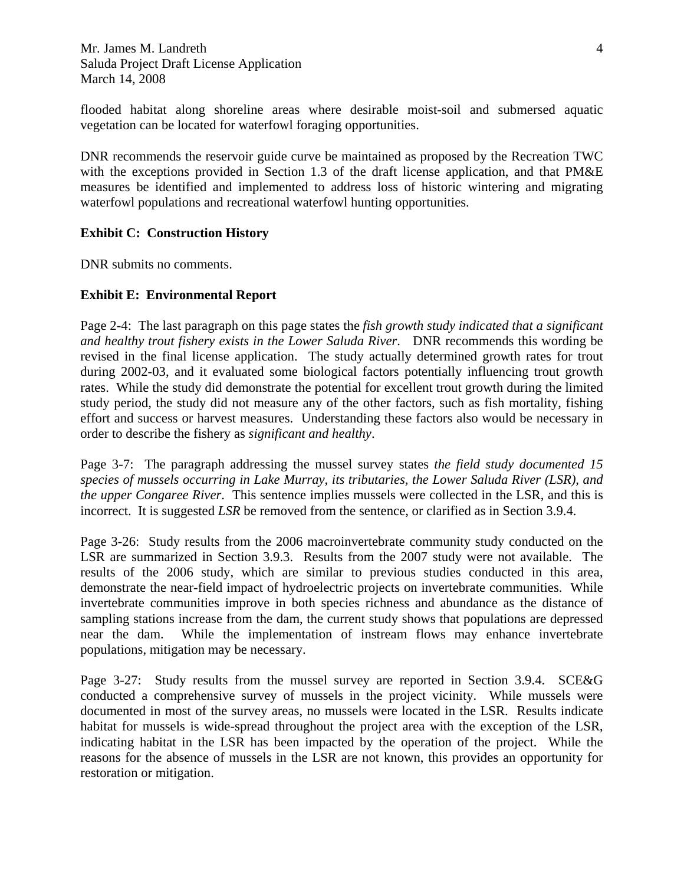flooded habitat along shoreline areas where desirable moist-soil and submersed aquatic vegetation can be located for waterfowl foraging opportunities.

DNR recommends the reservoir guide curve be maintained as proposed by the Recreation TWC with the exceptions provided in Section 1.3 of the draft license application, and that PM&E measures be identified and implemented to address loss of historic wintering and migrating waterfowl populations and recreational waterfowl hunting opportunities.

#### **Exhibit C: Construction History**

DNR submits no comments.

#### **Exhibit E: Environmental Report**

Page 2-4: The last paragraph on this page states the *fish growth study indicated that a significant and healthy trout fishery exists in the Lower Saluda River*. DNR recommends this wording be revised in the final license application. The study actually determined growth rates for trout during 2002-03, and it evaluated some biological factors potentially influencing trout growth rates. While the study did demonstrate the potential for excellent trout growth during the limited study period, the study did not measure any of the other factors, such as fish mortality, fishing effort and success or harvest measures. Understanding these factors also would be necessary in order to describe the fishery as *significant and healthy*.

Page 3-7: The paragraph addressing the mussel survey states *the field study documented 15 species of mussels occurring in Lake Murray, its tributaries, the Lower Saluda River (LSR), and the upper Congaree River*. This sentence implies mussels were collected in the LSR, and this is incorrect. It is suggested *LSR* be removed from the sentence, or clarified as in Section 3.9.4.

Page 3-26: Study results from the 2006 macroinvertebrate community study conducted on the LSR are summarized in Section 3.9.3. Results from the 2007 study were not available. The results of the 2006 study, which are similar to previous studies conducted in this area, demonstrate the near-field impact of hydroelectric projects on invertebrate communities. While invertebrate communities improve in both species richness and abundance as the distance of sampling stations increase from the dam, the current study shows that populations are depressed near the dam. While the implementation of instream flows may enhance invertebrate populations, mitigation may be necessary.

Page 3-27: Study results from the mussel survey are reported in Section 3.9.4. SCE&G conducted a comprehensive survey of mussels in the project vicinity. While mussels were documented in most of the survey areas, no mussels were located in the LSR. Results indicate habitat for mussels is wide-spread throughout the project area with the exception of the LSR, indicating habitat in the LSR has been impacted by the operation of the project. While the reasons for the absence of mussels in the LSR are not known, this provides an opportunity for restoration or mitigation.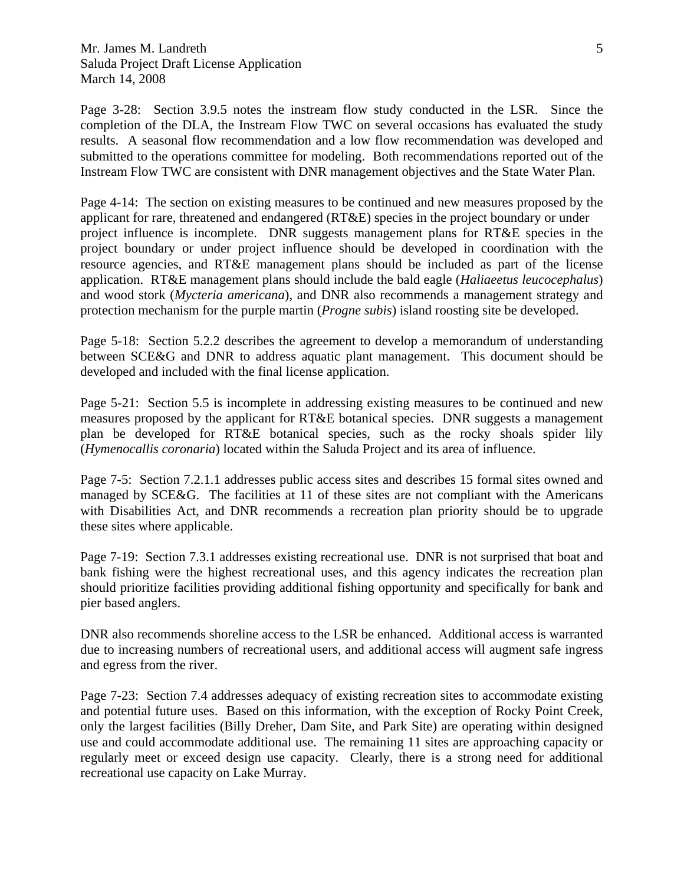Page 3-28: Section 3.9.5 notes the instream flow study conducted in the LSR. Since the completion of the DLA, the Instream Flow TWC on several occasions has evaluated the study results. A seasonal flow recommendation and a low flow recommendation was developed and submitted to the operations committee for modeling. Both recommendations reported out of the Instream Flow TWC are consistent with DNR management objectives and the State Water Plan.

Page 4-14: The section on existing measures to be continued and new measures proposed by the applicant for rare, threatened and endangered (RT&E) species in the project boundary or under project influence is incomplete. DNR suggests management plans for RT&E species in the project boundary or under project influence should be developed in coordination with the resource agencies, and RT&E management plans should be included as part of the license application. RT&E management plans should include the bald eagle (*Haliaeetus leucocephalus*) and wood stork (*Mycteria americana*), and DNR also recommends a management strategy and protection mechanism for the purple martin (*Progne subis*) island roosting site be developed.

Page 5-18: Section 5.2.2 describes the agreement to develop a memorandum of understanding between SCE&G and DNR to address aquatic plant management. This document should be developed and included with the final license application.

Page 5-21: Section 5.5 is incomplete in addressing existing measures to be continued and new measures proposed by the applicant for RT&E botanical species. DNR suggests a management plan be developed for RT&E botanical species, such as the rocky shoals spider lily (*Hymenocallis coronaria*) located within the Saluda Project and its area of influence.

Page 7-5: Section 7.2.1.1 addresses public access sites and describes 15 formal sites owned and managed by SCE&G. The facilities at 11 of these sites are not compliant with the Americans with Disabilities Act, and DNR recommends a recreation plan priority should be to upgrade these sites where applicable.

Page 7-19: Section 7.3.1 addresses existing recreational use. DNR is not surprised that boat and bank fishing were the highest recreational uses, and this agency indicates the recreation plan should prioritize facilities providing additional fishing opportunity and specifically for bank and pier based anglers.

DNR also recommends shoreline access to the LSR be enhanced. Additional access is warranted due to increasing numbers of recreational users, and additional access will augment safe ingress and egress from the river.

Page 7-23: Section 7.4 addresses adequacy of existing recreation sites to accommodate existing and potential future uses. Based on this information, with the exception of Rocky Point Creek, only the largest facilities (Billy Dreher, Dam Site, and Park Site) are operating within designed use and could accommodate additional use. The remaining 11 sites are approaching capacity or regularly meet or exceed design use capacity. Clearly, there is a strong need for additional recreational use capacity on Lake Murray.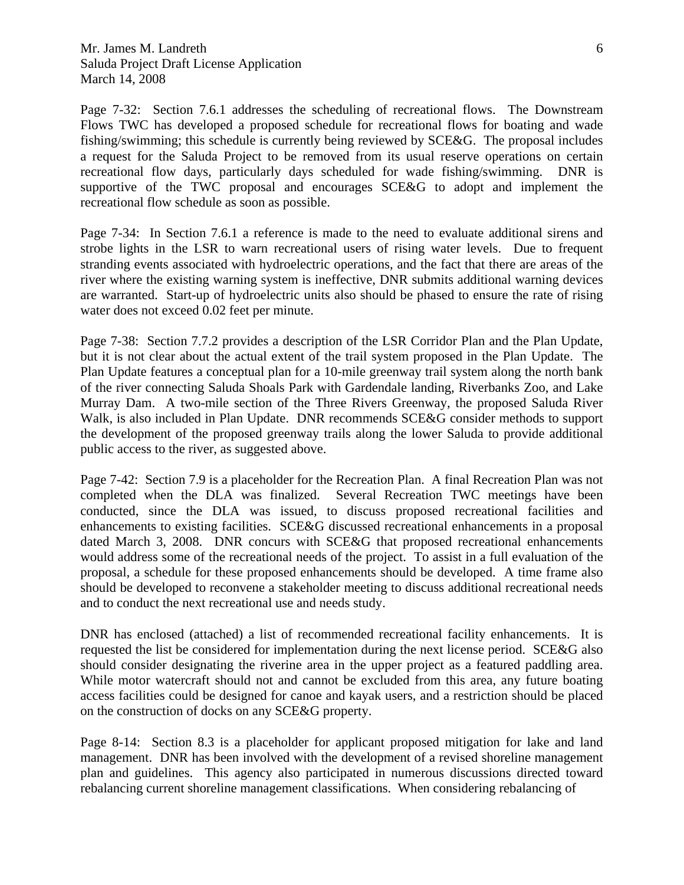Page 7-32: Section 7.6.1 addresses the scheduling of recreational flows. The Downstream Flows TWC has developed a proposed schedule for recreational flows for boating and wade fishing/swimming; this schedule is currently being reviewed by SCE&G. The proposal includes a request for the Saluda Project to be removed from its usual reserve operations on certain recreational flow days, particularly days scheduled for wade fishing/swimming. DNR is supportive of the TWC proposal and encourages SCE&G to adopt and implement the recreational flow schedule as soon as possible.

Page 7-34: In Section 7.6.1 a reference is made to the need to evaluate additional sirens and strobe lights in the LSR to warn recreational users of rising water levels. Due to frequent stranding events associated with hydroelectric operations, and the fact that there are areas of the river where the existing warning system is ineffective, DNR submits additional warning devices are warranted. Start-up of hydroelectric units also should be phased to ensure the rate of rising water does not exceed 0.02 feet per minute.

Page 7-38: Section 7.7.2 provides a description of the LSR Corridor Plan and the Plan Update, but it is not clear about the actual extent of the trail system proposed in the Plan Update. The Plan Update features a conceptual plan for a 10-mile greenway trail system along the north bank of the river connecting Saluda Shoals Park with Gardendale landing, Riverbanks Zoo, and Lake Murray Dam. A two-mile section of the Three Rivers Greenway, the proposed Saluda River Walk, is also included in Plan Update. DNR recommends SCE&G consider methods to support the development of the proposed greenway trails along the lower Saluda to provide additional public access to the river, as suggested above.

Page 7-42: Section 7.9 is a placeholder for the Recreation Plan. A final Recreation Plan was not completed when the DLA was finalized. Several Recreation TWC meetings have been conducted, since the DLA was issued, to discuss proposed recreational facilities and enhancements to existing facilities. SCE&G discussed recreational enhancements in a proposal dated March 3, 2008. DNR concurs with SCE&G that proposed recreational enhancements would address some of the recreational needs of the project. To assist in a full evaluation of the proposal, a schedule for these proposed enhancements should be developed. A time frame also should be developed to reconvene a stakeholder meeting to discuss additional recreational needs and to conduct the next recreational use and needs study.

DNR has enclosed (attached) a list of recommended recreational facility enhancements. It is requested the list be considered for implementation during the next license period. SCE&G also should consider designating the riverine area in the upper project as a featured paddling area. While motor watercraft should not and cannot be excluded from this area, any future boating access facilities could be designed for canoe and kayak users, and a restriction should be placed on the construction of docks on any SCE&G property.

Page 8-14: Section 8.3 is a placeholder for applicant proposed mitigation for lake and land management. DNR has been involved with the development of a revised shoreline management plan and guidelines. This agency also participated in numerous discussions directed toward rebalancing current shoreline management classifications. When considering rebalancing of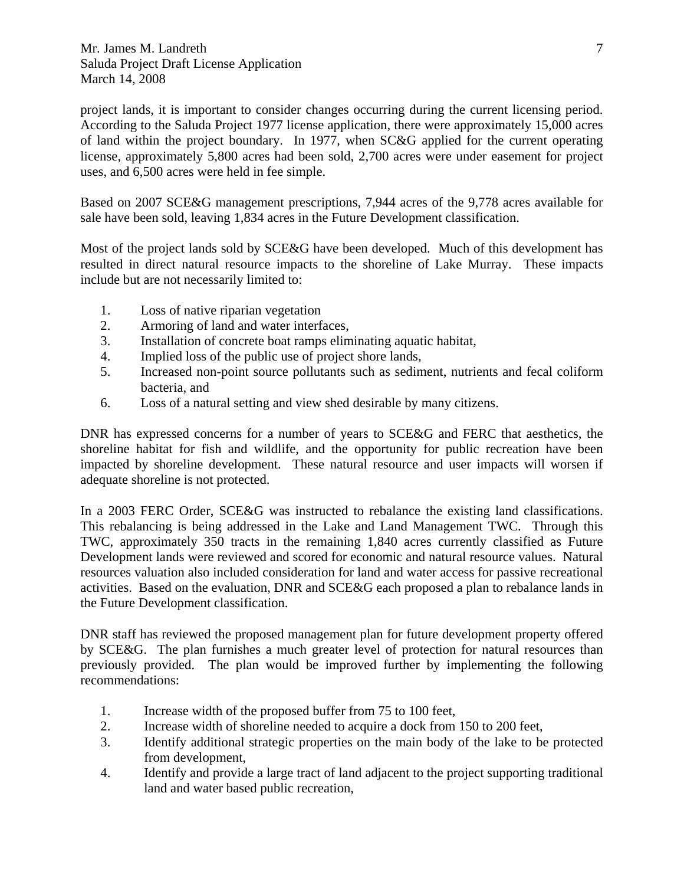project lands, it is important to consider changes occurring during the current licensing period. According to the Saluda Project 1977 license application, there were approximately 15,000 acres of land within the project boundary. In 1977, when SC&G applied for the current operating license, approximately 5,800 acres had been sold, 2,700 acres were under easement for project uses, and 6,500 acres were held in fee simple.

Based on 2007 SCE&G management prescriptions, 7,944 acres of the 9,778 acres available for sale have been sold, leaving 1,834 acres in the Future Development classification.

Most of the project lands sold by SCE&G have been developed. Much of this development has resulted in direct natural resource impacts to the shoreline of Lake Murray. These impacts include but are not necessarily limited to:

- 1. Loss of native riparian vegetation
- 2. Armoring of land and water interfaces,
- 3. Installation of concrete boat ramps eliminating aquatic habitat,
- 4. Implied loss of the public use of project shore lands,
- 5. Increased non-point source pollutants such as sediment, nutrients and fecal coliform bacteria, and
- 6. Loss of a natural setting and view shed desirable by many citizens.

DNR has expressed concerns for a number of years to SCE&G and FERC that aesthetics, the shoreline habitat for fish and wildlife, and the opportunity for public recreation have been impacted by shoreline development. These natural resource and user impacts will worsen if adequate shoreline is not protected.

In a 2003 FERC Order, SCE&G was instructed to rebalance the existing land classifications. This rebalancing is being addressed in the Lake and Land Management TWC. Through this TWC, approximately 350 tracts in the remaining 1,840 acres currently classified as Future Development lands were reviewed and scored for economic and natural resource values. Natural resources valuation also included consideration for land and water access for passive recreational activities. Based on the evaluation, DNR and SCE&G each proposed a plan to rebalance lands in the Future Development classification.

DNR staff has reviewed the proposed management plan for future development property offered by SCE&G. The plan furnishes a much greater level of protection for natural resources than previously provided. The plan would be improved further by implementing the following recommendations:

- 1. Increase width of the proposed buffer from 75 to 100 feet,
- 2. Increase width of shoreline needed to acquire a dock from 150 to 200 feet,
- 3. Identify additional strategic properties on the main body of the lake to be protected from development,
- 4. Identify and provide a large tract of land adjacent to the project supporting traditional land and water based public recreation,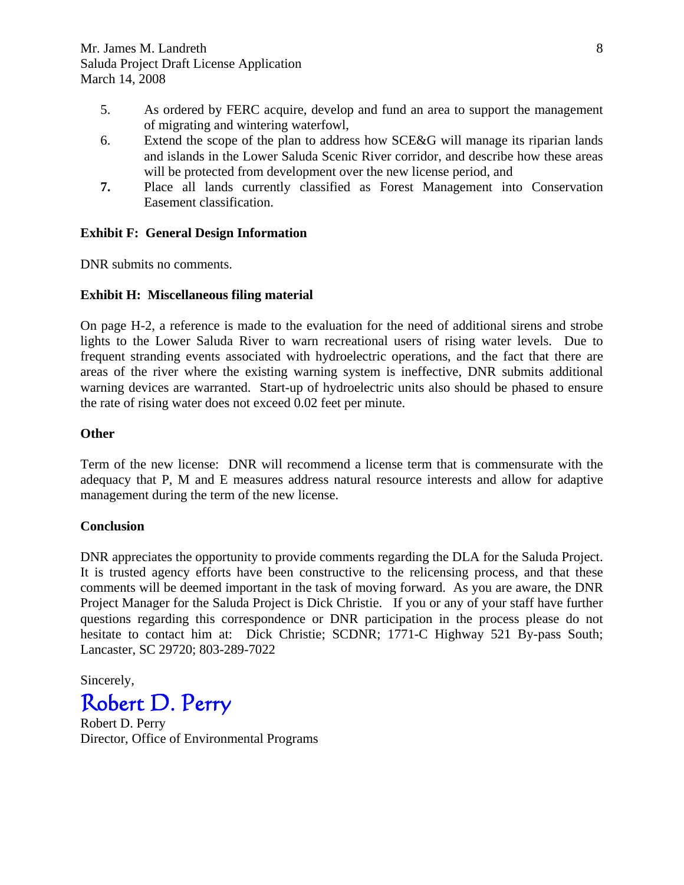- 5. As ordered by FERC acquire, develop and fund an area to support the management of migrating and wintering waterfowl,
- 6. Extend the scope of the plan to address how SCE&G will manage its riparian lands and islands in the Lower Saluda Scenic River corridor, and describe how these areas will be protected from development over the new license period, and
- **7.** Place all lands currently classified as Forest Management into Conservation Easement classification.

#### **Exhibit F: General Design Information**

DNR submits no comments.

#### **Exhibit H: Miscellaneous filing material**

On page H-2, a reference is made to the evaluation for the need of additional sirens and strobe lights to the Lower Saluda River to warn recreational users of rising water levels. Due to frequent stranding events associated with hydroelectric operations, and the fact that there are areas of the river where the existing warning system is ineffective, DNR submits additional warning devices are warranted. Start-up of hydroelectric units also should be phased to ensure the rate of rising water does not exceed 0.02 feet per minute.

#### **Other**

Term of the new license: DNR will recommend a license term that is commensurate with the adequacy that P, M and E measures address natural resource interests and allow for adaptive management during the term of the new license.

#### **Conclusion**

DNR appreciates the opportunity to provide comments regarding the DLA for the Saluda Project. It is trusted agency efforts have been constructive to the relicensing process, and that these comments will be deemed important in the task of moving forward. As you are aware, the DNR Project Manager for the Saluda Project is Dick Christie. If you or any of your staff have further questions regarding this correspondence or DNR participation in the process please do not hesitate to contact him at: Dick Christie; SCDNR; 1771-C Highway 521 By-pass South; Lancaster, SC 29720; 803-289-7022

Sincerely, Robert D. Perry

Robert D. Perry Director, Office of Environmental Programs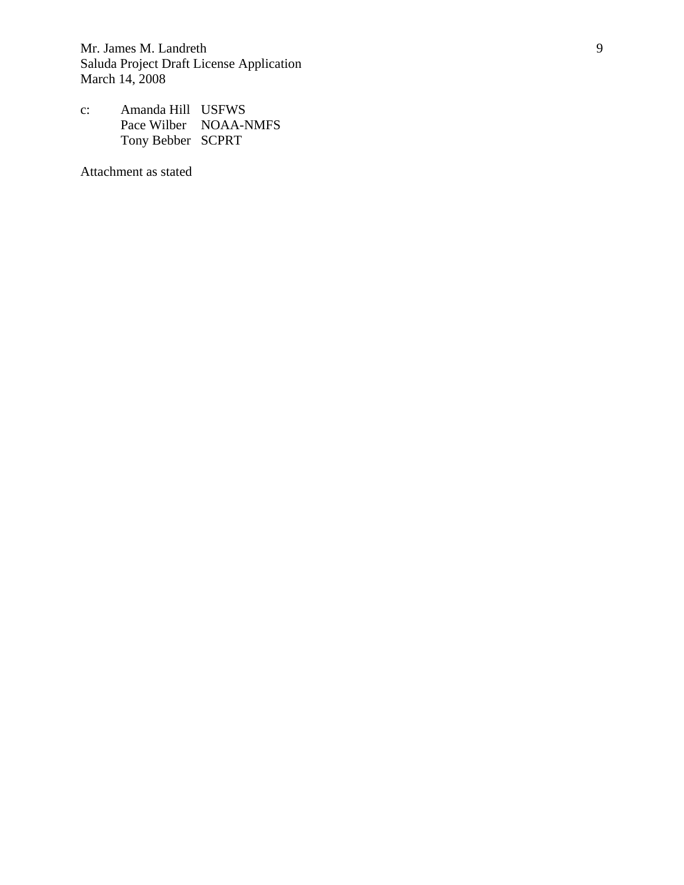c: Amanda Hill USFWS Pace Wilber NOAA-NMFS Tony Bebber SCPRT

Attachment as stated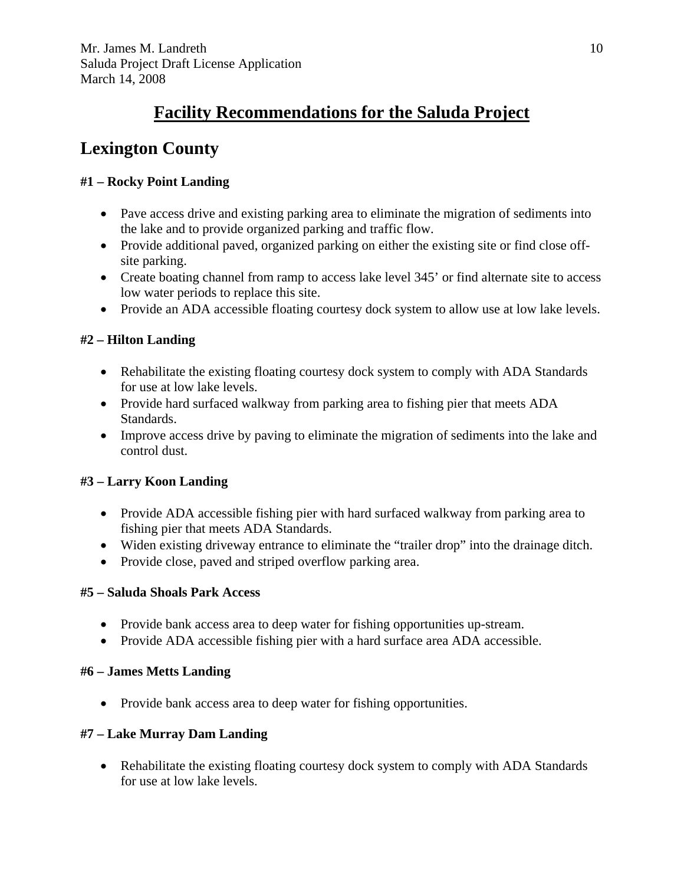# **Facility Recommendations for the Saluda Project**

# **Lexington County**

# **#1 – Rocky Point Landing**

- Pave access drive and existing parking area to eliminate the migration of sediments into the lake and to provide organized parking and traffic flow.
- Provide additional paved, organized parking on either the existing site or find close offsite parking.
- Create boating channel from ramp to access lake level 345' or find alternate site to access low water periods to replace this site.
- Provide an ADA accessible floating courtesy dock system to allow use at low lake levels.

# **#2 – Hilton Landing**

- Rehabilitate the existing floating courtesy dock system to comply with ADA Standards for use at low lake levels.
- Provide hard surfaced walkway from parking area to fishing pier that meets ADA Standards.
- Improve access drive by paving to eliminate the migration of sediments into the lake and control dust.

## **#3 – Larry Koon Landing**

- Provide ADA accessible fishing pier with hard surfaced walkway from parking area to fishing pier that meets ADA Standards.
- Widen existing driveway entrance to eliminate the "trailer drop" into the drainage ditch.
- Provide close, paved and striped overflow parking area.

## **#5 – Saluda Shoals Park Access**

- Provide bank access area to deep water for fishing opportunities up-stream.
- Provide ADA accessible fishing pier with a hard surface area ADA accessible.

## **#6 – James Metts Landing**

• Provide bank access area to deep water for fishing opportunities.

## **#7 – Lake Murray Dam Landing**

• Rehabilitate the existing floating courtesy dock system to comply with ADA Standards for use at low lake levels.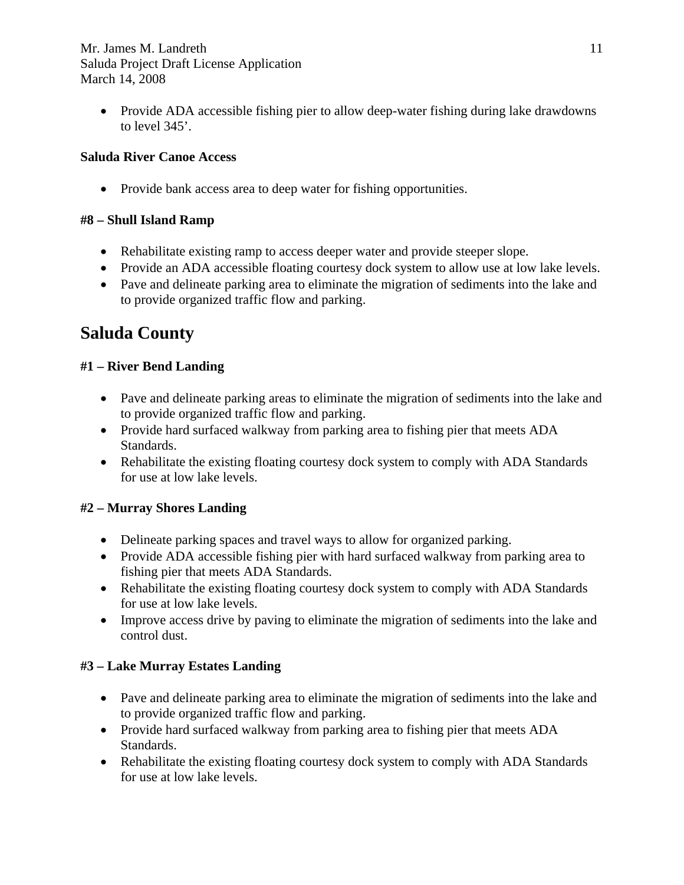• Provide ADA accessible fishing pier to allow deep-water fishing during lake drawdowns to level 345'.

#### **Saluda River Canoe Access**

• Provide bank access area to deep water for fishing opportunities.

#### **#8 – Shull Island Ramp**

- Rehabilitate existing ramp to access deeper water and provide steeper slope.
- Provide an ADA accessible floating courtesy dock system to allow use at low lake levels.
- Pave and delineate parking area to eliminate the migration of sediments into the lake and to provide organized traffic flow and parking.

# **Saluda County**

#### **#1 – River Bend Landing**

- Pave and delineate parking areas to eliminate the migration of sediments into the lake and to provide organized traffic flow and parking.
- Provide hard surfaced walkway from parking area to fishing pier that meets ADA Standards.
- Rehabilitate the existing floating courtesy dock system to comply with ADA Standards for use at low lake levels.

## **#2 – Murray Shores Landing**

- Delineate parking spaces and travel ways to allow for organized parking.
- Provide ADA accessible fishing pier with hard surfaced walkway from parking area to fishing pier that meets ADA Standards.
- Rehabilitate the existing floating courtesy dock system to comply with ADA Standards for use at low lake levels.
- Improve access drive by paving to eliminate the migration of sediments into the lake and control dust.

## **#3 – Lake Murray Estates Landing**

- Pave and delineate parking area to eliminate the migration of sediments into the lake and to provide organized traffic flow and parking.
- Provide hard surfaced walkway from parking area to fishing pier that meets ADA Standards.
- Rehabilitate the existing floating courtesy dock system to comply with ADA Standards for use at low lake levels.